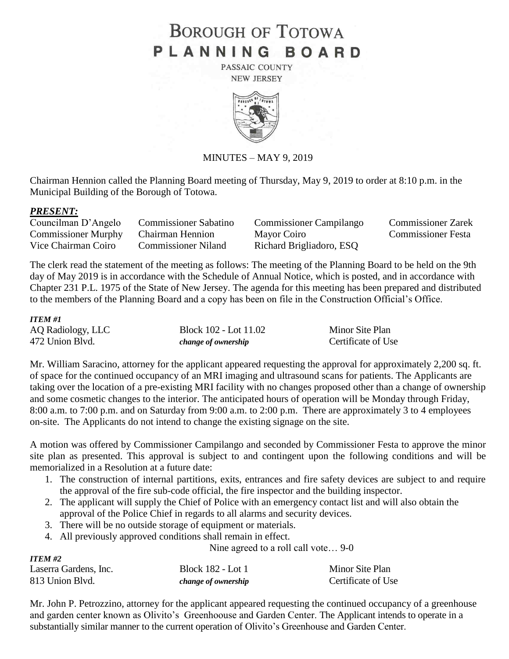# **BOROUGH OF TOTOWA** PLANNING BOARD

PASSAIC COUNTY **NEW JERSEY** 



#### MINUTES – MAY 9, 2019

Chairman Hennion called the Planning Board meeting of Thursday, May 9, 2019 to order at 8:10 p.m. in the Municipal Building of the Borough of Totowa.

#### *PRESENT:*

| Councilman D'Angelo                  | <b>Commissioner Sabatino</b> | <b>Commissioner Campilango</b> | <b>Commissioner Zarek</b> |
|--------------------------------------|------------------------------|--------------------------------|---------------------------|
| Commissioner Murphy Chairman Hennion |                              | Mayor Coiro                    | <b>Commissioner Festa</b> |
| Vice Chairman Coiro                  | <b>Commissioner Niland</b>   | Richard Brigliadoro, ESQ       |                           |

The clerk read the statement of the meeting as follows: The meeting of the Planning Board to be held on the 9th day of May 2019 is in accordance with the Schedule of Annual Notice, which is posted, and in accordance with Chapter 231 P.L. 1975 of the State of New Jersey. The agenda for this meeting has been prepared and distributed to the members of the Planning Board and a copy has been on file in the Construction Official's Office.

#### *ITEM #1*

| AQ Radiology, LLC | Block 102 - Lot 11.02 | Minor Site Plan    |
|-------------------|-----------------------|--------------------|
| 472 Union Blvd.   | change of ownership   | Certificate of Use |

Mr. William Saracino, attorney for the applicant appeared requesting the approval for approximately 2,200 sq. ft. of space for the continued occupancy of an MRI imaging and ultrasound scans for patients. The Applicants are taking over the location of a pre-existing MRI facility with no changes proposed other than a change of ownership and some cosmetic changes to the interior. The anticipated hours of operation will be Monday through Friday, 8:00 a.m. to 7:00 p.m. and on Saturday from 9:00 a.m. to 2:00 p.m. There are approximately 3 to 4 employees on-site. The Applicants do not intend to change the existing signage on the site.

A motion was offered by Commissioner Campilango and seconded by Commissioner Festa to approve the minor site plan as presented. This approval is subject to and contingent upon the following conditions and will be memorialized in a Resolution at a future date:

- 1. The construction of internal partitions, exits, entrances and fire safety devices are subject to and require the approval of the fire sub-code official, the fire inspector and the building inspector.
- 2. The applicant will supply the Chief of Police with an emergency contact list and will also obtain the approval of the Police Chief in regards to all alarms and security devices.
- 3. There will be no outside storage of equipment or materials.
- 4. All previously approved conditions shall remain in effect.

|                       | Nine agreed to a roll call vote 9-0 |                    |
|-----------------------|-------------------------------------|--------------------|
| <b>ITEM #2</b>        |                                     |                    |
| Laserra Gardens, Inc. | Block 182 - Lot 1                   | Minor Site Plan    |
| 813 Union Blvd.       | change of ownership                 | Certificate of Use |

Mr. John P. Petrozzino, attorney for the applicant appeared requesting the continued occupancy of a greenhouse and garden center known as Olivito's Greenhoouse and Garden Center. The Applicant intends to operate in a substantially similar manner to the current operation of Olivito's Greenhouse and Garden Center.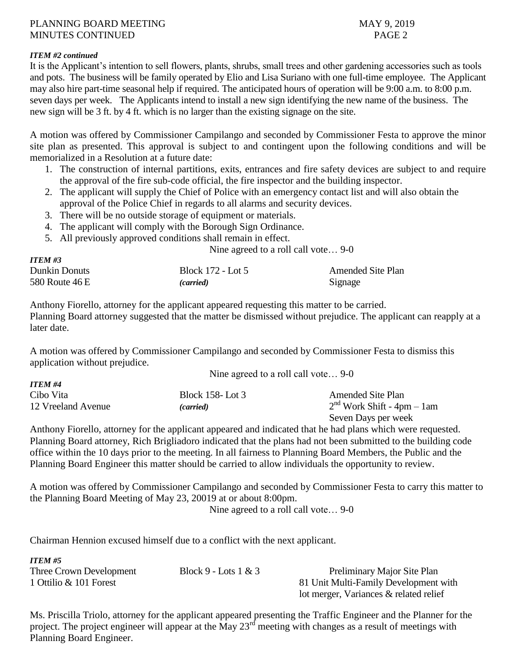#### *ITEM #2 continued*

*ITEM #3*

*ITEM #5*

It is the Applicant's intention to sell flowers, plants, shrubs, small trees and other gardening accessories such as tools and pots. The business will be family operated by Elio and Lisa Suriano with one full-time employee. The Applicant may also hire part-time seasonal help if required. The anticipated hours of operation will be 9:00 a.m. to 8:00 p.m. seven days per week. The Applicants intend to install a new sign identifying the new name of the business. The new sign will be 3 ft. by 4 ft. which is no larger than the existing signage on the site.

A motion was offered by Commissioner Campilango and seconded by Commissioner Festa to approve the minor site plan as presented. This approval is subject to and contingent upon the following conditions and will be memorialized in a Resolution at a future date:

- 1. The construction of internal partitions, exits, entrances and fire safety devices are subject to and require the approval of the fire sub-code official, the fire inspector and the building inspector.
- 2. The applicant will supply the Chief of Police with an emergency contact list and will also obtain the approval of the Police Chief in regards to all alarms and security devices.
- 3. There will be no outside storage of equipment or materials.
- 4. The applicant will comply with the Borough Sign Ordinance.
- 5. All previously approved conditions shall remain in effect.

Nine agreed to a roll call vote… 9-0

Nine agreed to a roll call vote  $\theta$ -0

| $11$ LW $\pi$ J |                   |                          |
|-----------------|-------------------|--------------------------|
| Dunkin Donuts   | Block 172 - Lot 5 | <b>Amended Site Plan</b> |
| 580 Route 46 E  | <i>(carried)</i>  | Signage                  |

Anthony Fiorello, attorney for the applicant appeared requesting this matter to be carried. Planning Board attorney suggested that the matter be dismissed without prejudice. The applicant can reapply at a later date.

A motion was offered by Commissioner Campilango and seconded by Commissioner Festa to dismiss this application without prejudice.

|                    | $\frac{1}{2}$ and $\frac{1}{2}$ and $\frac{1}{2}$ are $\frac{1}{2}$ and $\frac{1}{2}$ and $\frac{1}{2}$ are $\frac{1}{2}$ |                              |
|--------------------|---------------------------------------------------------------------------------------------------------------------------|------------------------------|
| <b>ITEM #4</b>     |                                                                                                                           |                              |
| Cibo Vita          | Block 158- Lot 3                                                                                                          | <b>Amended Site Plan</b>     |
| 12 Vreeland Avenue | (carried)                                                                                                                 | $2nd$ Work Shift - 4pm – 1am |
|                    |                                                                                                                           | Seven Days per week          |

Anthony Fiorello, attorney for the applicant appeared and indicated that he had plans which were requested. Planning Board attorney, Rich Brigliadoro indicated that the plans had not been submitted to the building code office within the 10 days prior to the meeting. In all fairness to Planning Board Members, the Public and the Planning Board Engineer this matter should be carried to allow individuals the opportunity to review.

A motion was offered by Commissioner Campilango and seconded by Commissioner Festa to carry this matter to the Planning Board Meeting of May 23, 20019 at or about 8:00pm.

Nine agreed to a roll call vote… 9-0

Chairman Hennion excused himself due to a conflict with the next applicant.

| $\bf{11}$ EM #5         |                        |                                        |
|-------------------------|------------------------|----------------------------------------|
| Three Crown Development | Block 9 - Lots $1 & 3$ | Preliminary Major Site Plan            |
| 1 Ottilio & 101 Forest  |                        | 81 Unit Multi-Family Development with  |
|                         |                        | lot merger, Variances & related relief |

Ms. Priscilla Triolo, attorney for the applicant appeared presenting the Traffic Engineer and the Planner for the project. The project engineer will appear at the May  $23<sup>rd</sup>$  meeting with changes as a result of meetings with Planning Board Engineer.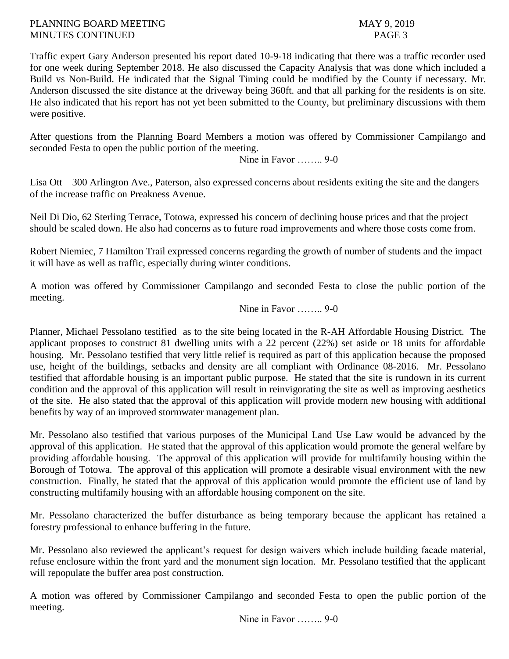Traffic expert Gary Anderson presented his report dated 10-9-18 indicating that there was a traffic recorder used for one week during September 2018. He also discussed the Capacity Analysis that was done which included a Build vs Non-Build. He indicated that the Signal Timing could be modified by the County if necessary. Mr. Anderson discussed the site distance at the driveway being 360ft. and that all parking for the residents is on site. He also indicated that his report has not yet been submitted to the County, but preliminary discussions with them were positive.

After questions from the Planning Board Members a motion was offered by Commissioner Campilango and seconded Festa to open the public portion of the meeting.

Nine in Favor …….. 9-0

Lisa Ott – 300 Arlington Ave., Paterson, also expressed concerns about residents exiting the site and the dangers of the increase traffic on Preakness Avenue.

Neil Di Dio, 62 Sterling Terrace, Totowa, expressed his concern of declining house prices and that the project should be scaled down. He also had concerns as to future road improvements and where those costs come from.

Robert Niemiec, 7 Hamilton Trail expressed concerns regarding the growth of number of students and the impact it will have as well as traffic, especially during winter conditions.

A motion was offered by Commissioner Campilango and seconded Festa to close the public portion of the meeting.

Nine in Favor **9-0** 

Planner, Michael Pessolano testified as to the site being located in the R-AH Affordable Housing District. The applicant proposes to construct 81 dwelling units with a 22 percent (22%) set aside or 18 units for affordable housing. Mr. Pessolano testified that very little relief is required as part of this application because the proposed use, height of the buildings, setbacks and density are all compliant with Ordinance 08-2016. Mr. Pessolano testified that affordable housing is an important public purpose. He stated that the site is rundown in its current condition and the approval of this application will result in reinvigorating the site as well as improving aesthetics of the site. He also stated that the approval of this application will provide modern new housing with additional benefits by way of an improved stormwater management plan.

Mr. Pessolano also testified that various purposes of the Municipal Land Use Law would be advanced by the approval of this application. He stated that the approval of this application would promote the general welfare by providing affordable housing. The approval of this application will provide for multifamily housing within the Borough of Totowa. The approval of this application will promote a desirable visual environment with the new construction. Finally, he stated that the approval of this application would promote the efficient use of land by constructing multifamily housing with an affordable housing component on the site.

Mr. Pessolano characterized the buffer disturbance as being temporary because the applicant has retained a forestry professional to enhance buffering in the future.

Mr. Pessolano also reviewed the applicant's request for design waivers which include building facade material, refuse enclosure within the front yard and the monument sign location. Mr. Pessolano testified that the applicant will repopulate the buffer area post construction.

A motion was offered by Commissioner Campilango and seconded Festa to open the public portion of the meeting.

Nine in Favor …….. 9-0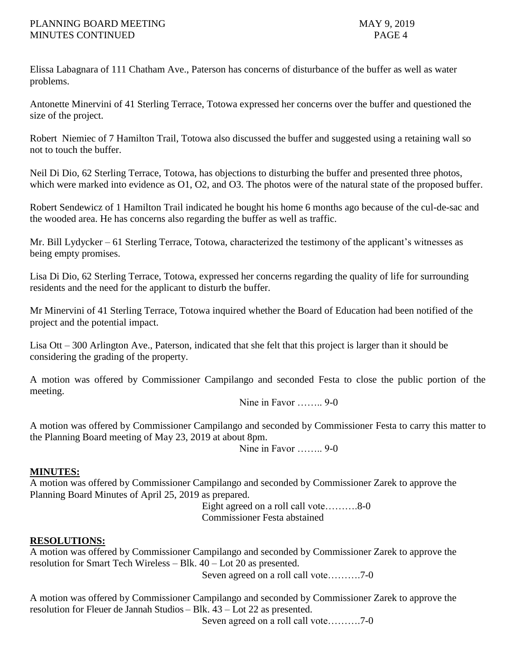Elissa Labagnara of 111 Chatham Ave., Paterson has concerns of disturbance of the buffer as well as water problems.

Antonette Minervini of 41 Sterling Terrace, Totowa expressed her concerns over the buffer and questioned the size of the project.

Robert Niemiec of 7 Hamilton Trail, Totowa also discussed the buffer and suggested using a retaining wall so not to touch the buffer.

Neil Di Dio, 62 Sterling Terrace, Totowa, has objections to disturbing the buffer and presented three photos, which were marked into evidence as O1, O2, and O3. The photos were of the natural state of the proposed buffer.

Robert Sendewicz of 1 Hamilton Trail indicated he bought his home 6 months ago because of the cul-de-sac and the wooded area. He has concerns also regarding the buffer as well as traffic.

Mr. Bill Lydycker – 61 Sterling Terrace, Totowa, characterized the testimony of the applicant's witnesses as being empty promises.

Lisa Di Dio, 62 Sterling Terrace, Totowa, expressed her concerns regarding the quality of life for surrounding residents and the need for the applicant to disturb the buffer.

Mr Minervini of 41 Sterling Terrace, Totowa inquired whether the Board of Education had been notified of the project and the potential impact.

Lisa Ott – 300 Arlington Ave., Paterson, indicated that she felt that this project is larger than it should be considering the grading of the property.

A motion was offered by Commissioner Campilango and seconded Festa to close the public portion of the meeting.

Nine in Favor **9-0** 

A motion was offered by Commissioner Campilango and seconded by Commissioner Festa to carry this matter to the Planning Board meeting of May 23, 2019 at about 8pm.

Nine in Favor **9-0** 

## **MINUTES:**

A motion was offered by Commissioner Campilango and seconded by Commissioner Zarek to approve the Planning Board Minutes of April 25, 2019 as prepared.

Eight agreed on a roll call vote……….8-0 Commissioner Festa abstained

## **RESOLUTIONS:**

A motion was offered by Commissioner Campilango and seconded by Commissioner Zarek to approve the resolution for Smart Tech Wireless – Blk. 40 – Lot 20 as presented.

Seven agreed on a roll call vote……….7-0

A motion was offered by Commissioner Campilango and seconded by Commissioner Zarek to approve the resolution for Fleuer de Jannah Studios – Blk. 43 – Lot 22 as presented.

Seven agreed on a roll call vote……….7-0